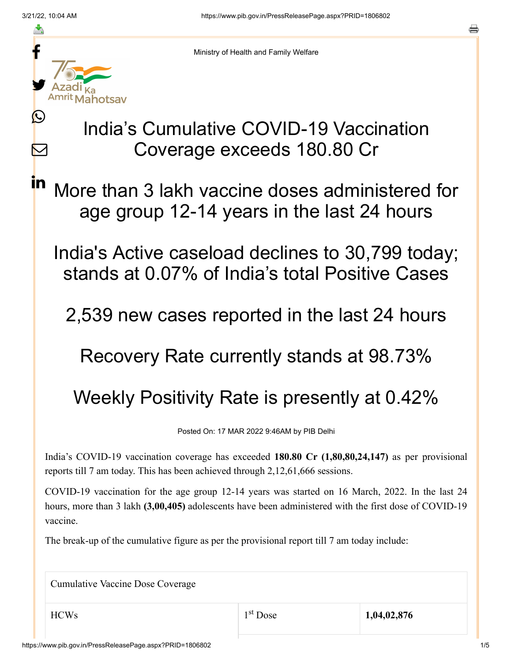≛

 $\bm{\nabla}$ 

**in** 



Ministry of Health and Family Welfare

## India's Cumulative COVID-19 Vaccination Coverage exceeds 180.80 Cr

More than 3 lakh vaccine doses administered for age group 12-14 years in the last 24 hours

India's Active caseload declines to 30,799 today; stands at 0.07% of India's total Positive Cases

2,539 new cases reported in the last 24 hours

Recovery Rate currently stands at 98.73%

## Weekly Positivity Rate is presently at 0.42%

Posted On: 17 MAR 2022 9:46AM by PIB Delhi

India's COVID-19 vaccination coverage has exceeded **180.80 Cr (1,80,80,24,147)** as per provisional reports till 7 am today. This has been achieved through 2,12,61,666 sessions.

COVID-19 vaccination for the age group 12-14 years was started on 16 March, 2022. In the last 24 hours, more than 3 lakh **(3,00,405)** adolescents have been administered with the first dose of COVID-19 vaccine.

The break-up of the cumulative figure as per the provisional report till 7 am today include:

Cumulative Vaccine Dose Coverage

HCWs 1,04,02,876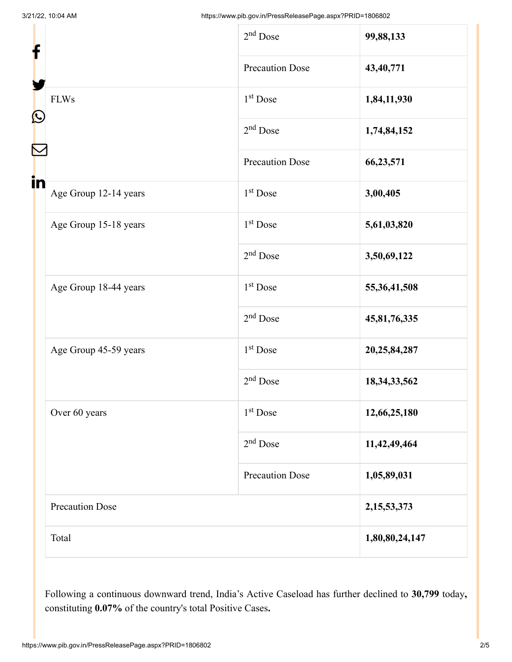| f                 |                        | $2nd$ Dose             | 99,88,133       |
|-------------------|------------------------|------------------------|-----------------|
| $\mathbf{\Omega}$ |                        | <b>Precaution Dose</b> | 43,40,771       |
|                   | <b>FLWs</b>            | 1 <sup>st</sup> Dose   | 1,84,11,930     |
|                   |                        | $2nd$ Dose             | 1,74,84,152     |
|                   |                        | <b>Precaution Dose</b> | 66, 23, 571     |
| in                | Age Group 12-14 years  | $1st$ Dose             | 3,00,405        |
|                   | Age Group 15-18 years  | 1 <sup>st</sup> Dose   | 5,61,03,820     |
|                   |                        | $2nd$ Dose             | 3,50,69,122     |
|                   | Age Group 18-44 years  | 1 <sup>st</sup> Dose   | 55, 36, 41, 508 |
|                   |                        | $2nd$ Dose             | 45,81,76,335    |
|                   | Age Group 45-59 years  | $1st$ Dose             | 20,25,84,287    |
|                   |                        | $2nd$ Dose             | 18, 34, 33, 562 |
|                   | Over 60 years          | 1 <sup>st</sup> Dose   | 12,66,25,180    |
|                   |                        | $2nd$ Dose             | 11,42,49,464    |
|                   |                        | <b>Precaution Dose</b> | 1,05,89,031     |
|                   | <b>Precaution Dose</b> |                        | 2, 15, 53, 373  |
|                   | Total                  |                        | 1,80,80,24,147  |

Following a continuous downward trend, India's Active Caseload has further declined to **30,799** today**,** constituting **0.07%** of the country's total Positive Cases**.**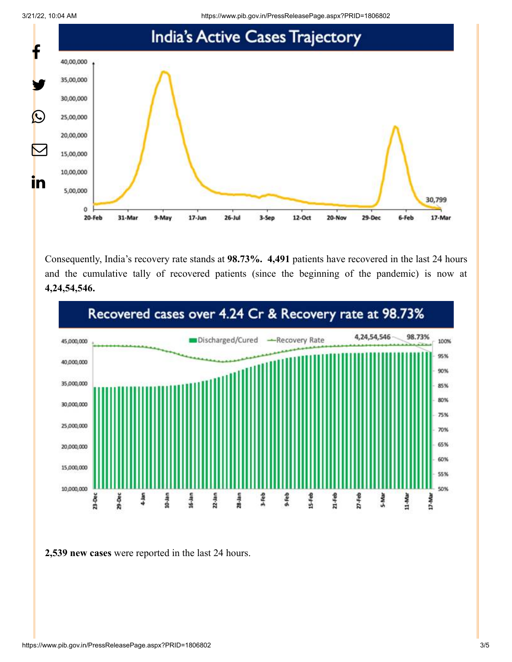3/21/22, 10:04 AM https://www.pib.gov.in/PressReleasePage.aspx?PRID=1806802



Consequently, India's recovery rate stands at **98.73%. 4,491** patients have recovered in the last 24 hours and the cumulative tally of recovered patients (since the beginning of the pandemic) is now at **4,24,54,546.**



**2,539 new cases** were reported in the last 24 hours.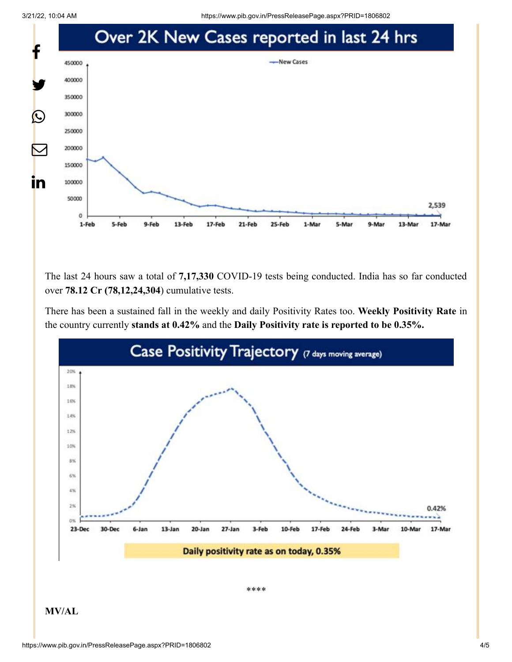

The last 24 hours saw a total of **7,17,330** COVID-19 tests being conducted. India has so far conducted over **78.12 Cr (78,12,24,304**) cumulative tests.

There has been a sustained fall in the weekly and daily Positivity Rates too. **Weekly Positivity Rate** in the country currently **stands at 0.42%** and the **Daily Positivity rate is reported to be 0.35%.**